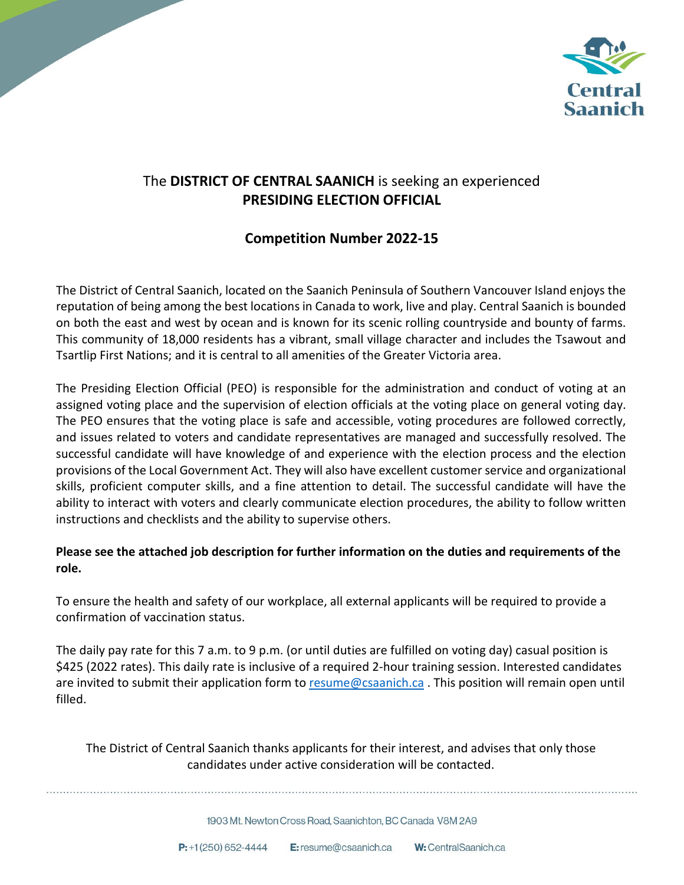

## The **DISTRICT OF CENTRAL SAANICH** is seeking an experienced **PRESIDING ELECTION OFFICIAL**

## **Competition Number 2022-15**

The District of Central Saanich, located on the Saanich Peninsula of Southern Vancouver Island enjoys the reputation of being among the best locations in Canada to work, live and play. Central Saanich is bounded on both the east and west by ocean and is known for its scenic rolling countryside and bounty of farms. This community of 18,000 residents has a vibrant, small village character and includes the Tsawout and Tsartlip First Nations; and it is central to all amenities of the Greater Victoria area.

The Presiding Election Official (PEO) is responsible for the administration and conduct of voting at an assigned voting place and the supervision of election officials at the voting place on general voting day. The PEO ensures that the voting place is safe and accessible, voting procedures are followed correctly, and issues related to voters and candidate representatives are managed and successfully resolved. The successful candidate will have knowledge of and experience with the election process and the election provisions of the Local Government Act. They will also have excellent customer service and organizational skills, proficient computer skills, and a fine attention to detail. The successful candidate will have the ability to interact with voters and clearly communicate election procedures, the ability to follow written instructions and checklists and the ability to supervise others.

### **Please see the attached job description for further information on the duties and requirements of the role.**

To ensure the health and safety of our workplace, all external applicants will be required to provide a confirmation of vaccination status.

The daily pay rate for this 7 a.m. to 9 p.m. (or until duties are fulfilled on voting day) casual position is \$425 (2022 rates). This daily rate is inclusive of a required 2-hour training session. Interested candidates are invited to submit their application form to [resume@csaanich.ca](mailto:resume@csaanich.ca) . This position will remain open until filled.

The District of Central Saanich thanks applicants for their interest, and advises that only those candidates under active consideration will be contacted.

1903 Mt. Newton Cross Road. Saanichton, BC Canada V8M 2A9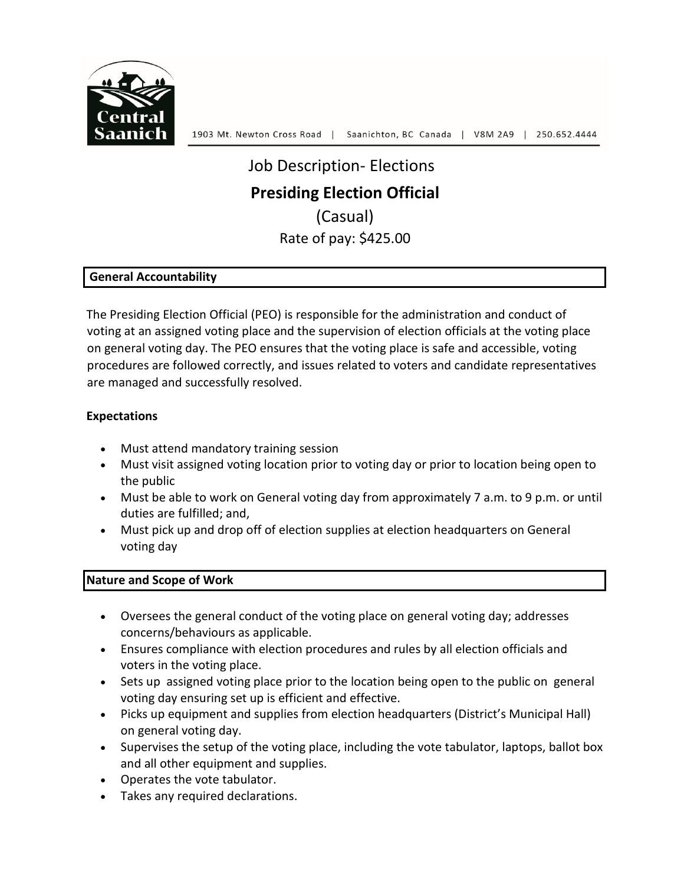

# Job Description- Elections **Presiding Election Official** (Casual) Rate of pay: \$425.00

#### **General Accountability**

The Presiding Election Official (PEO) is responsible for the administration and conduct of voting at an assigned voting place and the supervision of election officials at the voting place on general voting day. The PEO ensures that the voting place is safe and accessible, voting procedures are followed correctly, and issues related to voters and candidate representatives are managed and successfully resolved.

#### **Expectations**

- Must attend mandatory training session
- Must visit assigned voting location prior to voting day or prior to location being open to the public
- Must be able to work on General voting day from approximately 7 a.m. to 9 p.m. or until duties are fulfilled; and,
- Must pick up and drop off of election supplies at election headquarters on General voting day

#### **Nature and Scope of Work**

- Oversees the general conduct of the voting place on general voting day; addresses concerns/behaviours as applicable.
- Ensures compliance with election procedures and rules by all election officials and voters in the voting place.
- Sets up assigned voting place prior to the location being open to the public on general voting day ensuring set up is efficient and effective.
- Picks up equipment and supplies from election headquarters (District's Municipal Hall) on general voting day.
- Supervises the setup of the voting place, including the vote tabulator, laptops, ballot box and all other equipment and supplies.
- Operates the vote tabulator.
- Takes any required declarations.